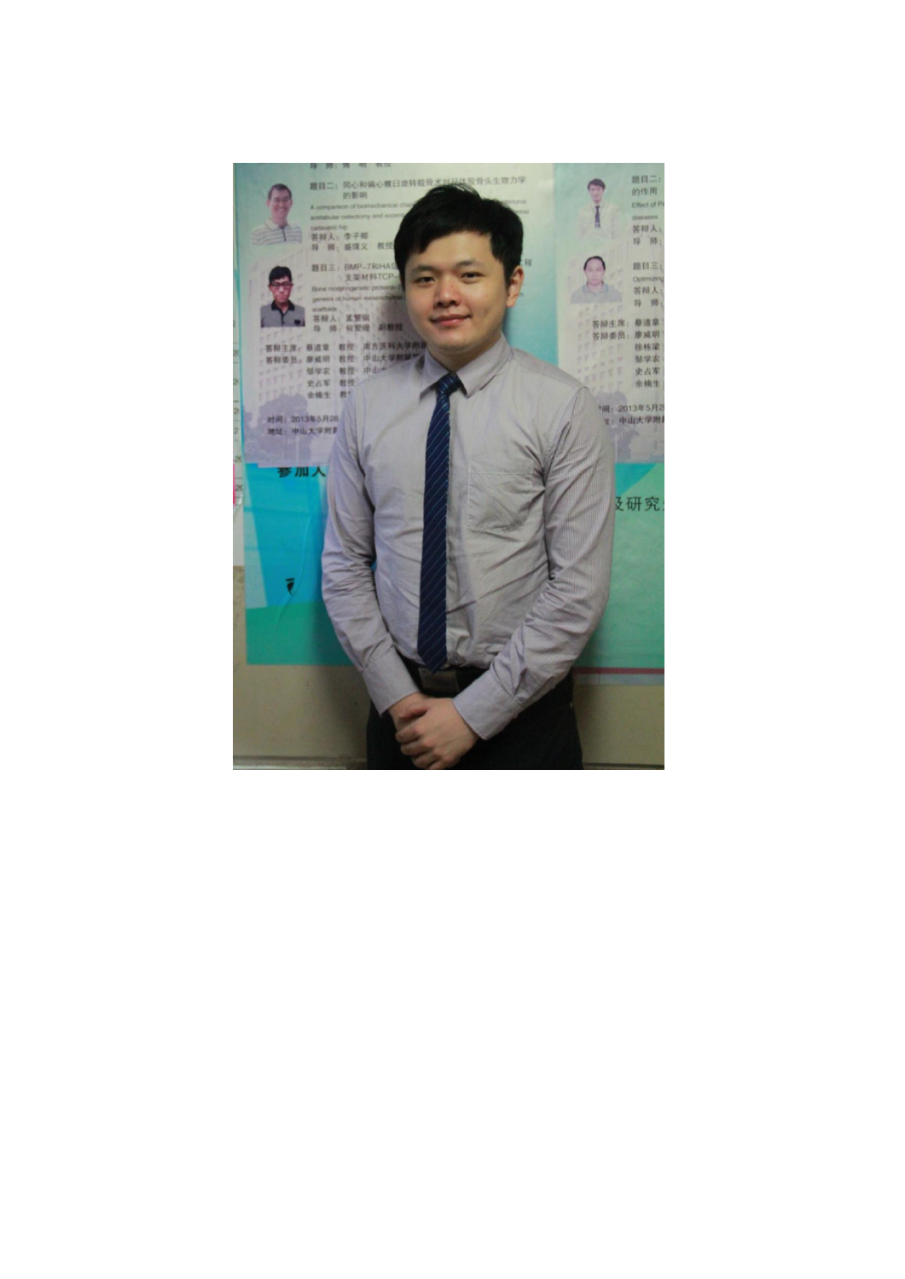